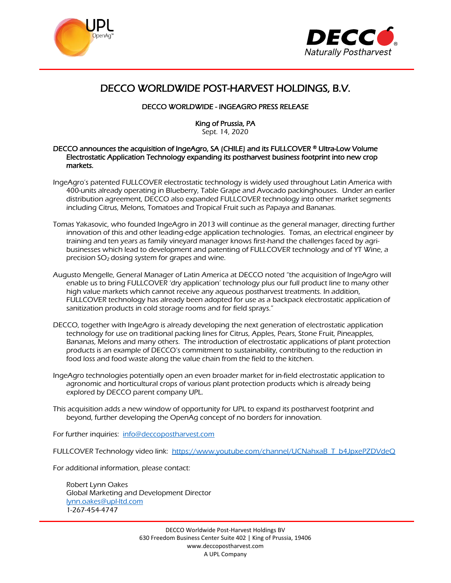



# DECCO WORLDWIDE POST-HARVEST HOLDINGS, B.V.

## DECCO WORLDWIDE - INGEAGRO PRESS RELEASE

King of Prussia, PA Sept. 14, 2020

#### DECCO announces the acquisition of IngeAgro, SA (CHILE) and its FULLCOVER ® Ultra-Low Volume Electrostatic Application Technology expanding its postharvest business footprint into new crop markets.

- IngeAgro's patented FULLCOVER electrostatic technology is widely used throughout Latin America with 400-units already operating in Blueberry, Table Grape and Avocado packinghouses. Under an earlier distribution agreement, DECCO also expanded FULLCOVER technology into other market segments including Citrus, Melons, Tomatoes and Tropical Fruit such as Papaya and Bananas.
- Tomas Yakasovic, who founded IngeAgro in 2013 will continue as the general manager, directing further innovation of this and other leading-edge application technologies. Tomas, an electrical engineer by training and ten years as family vineyard manager knows first-hand the challenges faced by agribusinesses which lead to development and patenting of FULLCOVER technology and of YT Wine, a precision SO2 dosing system for grapes and wine.
- Augusto Mengelle, General Manager of Latin America at DECCO noted "the acquisition of IngeAgro will enable us to bring FULLCOVER 'dry application' technology plus our full product line to many other high value markets which cannot receive any aqueous postharvest treatments. In addition, FULLCOVER technology has already been adopted for use as a backpack electrostatic application of sanitization products in cold storage rooms and for field sprays."
- DECCO, together with IngeAgro is already developing the next generation of electrostatic application technology for use on traditional packing lines for Citrus, Apples, Pears, Stone Fruit, Pineapples, Bananas, Melons and many others. The introduction of electrostatic applications of plant protection products is an example of DECCO's commitment to sustainability, contributing to the reduction in food loss and food waste along the value chain from the field to the kitchen.
- IngeAgro technologies potentially open an even broader market for in-field electrostatic application to agronomic and horticultural crops of various plant protection products which is already being explored by DECCO parent company UPL.
- This acquisition adds a new window of opportunity for UPL to expand its postharvest footprint and beyond, further developing the OpenAg concept of no borders for innovation.

For further inquiries: [info@deccopostharvest.com](mailto:info@deccopostharvest.com)

FULLCOVER Technology video link: [https://www.youtube.com/channel/UCNahxaB\\_T\\_b4JpxePZDVdeQ](https://www.youtube.com/channel/UCNahxaB_T_b4JpxePZDVdeQ)

For additional information, please contact:

Robert Lynn Oakes Global Marketing and Development Director [lynn.oakes@upl-ltd.com](mailto:lynn.oakes@upl-ltd.com) 1-267-454-4747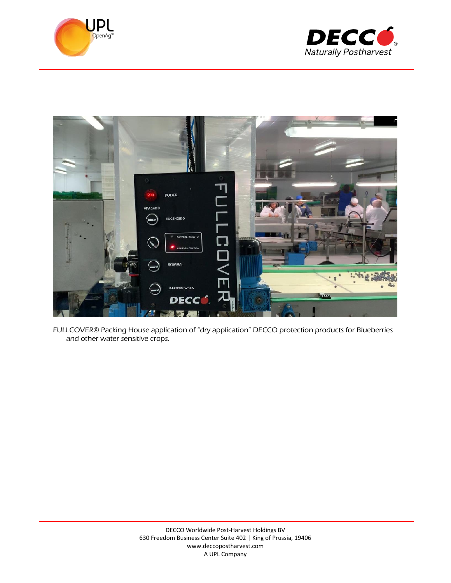





FULLCOVER® Packing House application of "dry application" DECCO protection products for Blueberries and other water sensitive crops.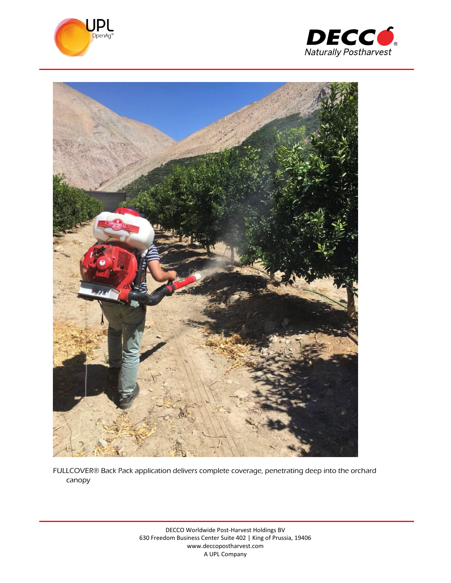





FULLCOVER® Back Pack application delivers complete coverage, penetrating deep into the orchard canopy

> DECCO Worldwide Post-Harvest Holdings BV 630 Freedom Business Center Suite 402 | King of Prussia, 19406 www.deccopostharvest.com A UPL Company